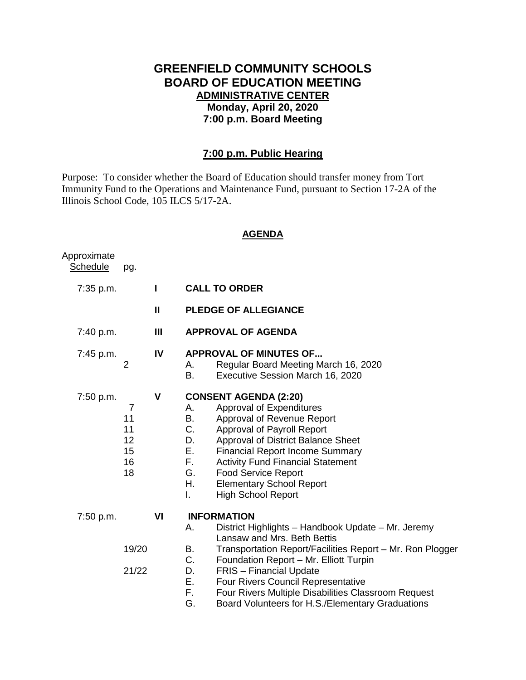# **GREENFIELD COMMUNITY SCHOOLS BOARD OF EDUCATION MEETING ADMINISTRATIVE CENTER Monday, April 20, 2020 7:00 p.m. Board Meeting**

## **7:00 p.m. Public Hearing**

Purpose: To consider whether the Board of Education should transfer money from Tort Immunity Fund to the Operations and Maintenance Fund, pursuant to Section 17-2A of the Illinois School Code, 105 ILCS 5/17-2A.

#### **AGENDA**

| Approximate<br><b>Schedule</b> | pg.                                                |    |                                                                                                                                                                                                                                                                                                                                                                                                                                             |
|--------------------------------|----------------------------------------------------|----|---------------------------------------------------------------------------------------------------------------------------------------------------------------------------------------------------------------------------------------------------------------------------------------------------------------------------------------------------------------------------------------------------------------------------------------------|
| $7:35$ p.m.                    |                                                    | Ш  | <b>CALL TO ORDER</b>                                                                                                                                                                                                                                                                                                                                                                                                                        |
|                                |                                                    | Ш  | <b>PLEDGE OF ALLEGIANCE</b>                                                                                                                                                                                                                                                                                                                                                                                                                 |
| 7:40 p.m.                      |                                                    | Ш  | <b>APPROVAL OF AGENDA</b>                                                                                                                                                                                                                                                                                                                                                                                                                   |
| 7:45 p.m.                      | $\overline{2}$                                     | IV | <b>APPROVAL OF MINUTES OF</b><br>Regular Board Meeting March 16, 2020<br>А.<br>B.<br>Executive Session March 16, 2020                                                                                                                                                                                                                                                                                                                       |
| 7:50 p.m.                      | $\overline{7}$<br>11<br>11<br>12<br>15<br>16<br>18 | V  | <b>CONSENT AGENDA (2:20)</b><br>Approval of Expenditures<br>А.<br>Approval of Revenue Report<br>B.<br>C.<br>Approval of Payroll Report<br>D.<br>Approval of District Balance Sheet<br>Е.<br><b>Financial Report Income Summary</b><br>F.<br><b>Activity Fund Financial Statement</b><br>G.<br><b>Food Service Report</b><br>Η.<br><b>Elementary School Report</b><br><b>High School Report</b><br>L.                                        |
| 7:50 p.m.                      | 19/20<br>21/22                                     | VI | <b>INFORMATION</b><br>District Highlights - Handbook Update - Mr. Jeremy<br>А.<br>Lansaw and Mrs. Beth Bettis<br>Transportation Report/Facilities Report - Mr. Ron Plogger<br>В.<br>C.<br>Foundation Report - Mr. Elliott Turpin<br><b>FRIS</b> - Financial Update<br>D.<br>Ε.<br>Four Rivers Council Representative<br>F.<br>Four Rivers Multiple Disabilities Classroom Request<br>G.<br>Board Volunteers for H.S./Elementary Graduations |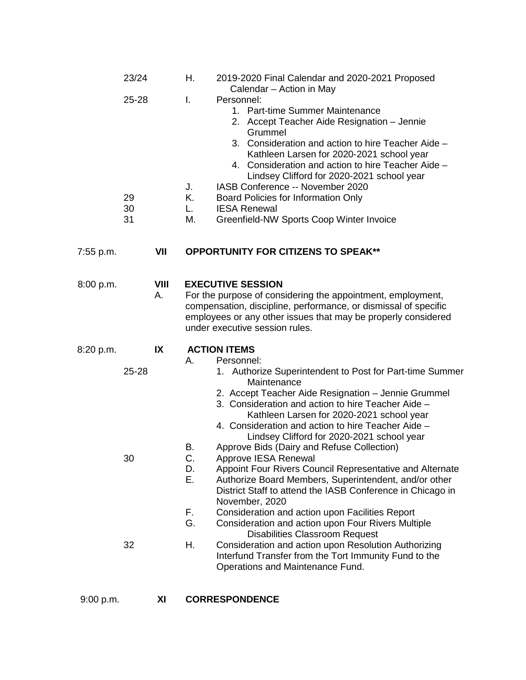|           | 23/24                   |                   | Η.                                     | 2019-2020 Final Calendar and 2020-2021 Proposed<br>Calendar - Action in May                                                                                                                                                                                                                                                                                                                                                                                                                                                                                                                                                                                                                                                                                    |  |
|-----------|-------------------------|-------------------|----------------------------------------|----------------------------------------------------------------------------------------------------------------------------------------------------------------------------------------------------------------------------------------------------------------------------------------------------------------------------------------------------------------------------------------------------------------------------------------------------------------------------------------------------------------------------------------------------------------------------------------------------------------------------------------------------------------------------------------------------------------------------------------------------------------|--|
|           | 25-28<br>29<br>30<br>31 |                   | I.<br>J.<br>K.<br>L.<br>M.             | Personnel:<br>1. Part-time Summer Maintenance<br>2. Accept Teacher Aide Resignation - Jennie<br>Grummel<br>3. Consideration and action to hire Teacher Aide -<br>Kathleen Larsen for 2020-2021 school year<br>4. Consideration and action to hire Teacher Aide -<br>Lindsey Clifford for 2020-2021 school year<br>IASB Conference -- November 2020<br>Board Policies for Information Only<br><b>IESA Renewal</b><br>Greenfield-NW Sports Coop Winter Invoice                                                                                                                                                                                                                                                                                                   |  |
| 7:55 p.m. |                         | VII               |                                        | <b>OPPORTUNITY FOR CITIZENS TO SPEAK**</b>                                                                                                                                                                                                                                                                                                                                                                                                                                                                                                                                                                                                                                                                                                                     |  |
| 8:00 p.m. |                         | <b>VIII</b><br>Α. |                                        | <b>EXECUTIVE SESSION</b><br>For the purpose of considering the appointment, employment,<br>compensation, discipline, performance, or dismissal of specific<br>employees or any other issues that may be properly considered<br>under executive session rules.                                                                                                                                                                                                                                                                                                                                                                                                                                                                                                  |  |
| 8:20 p.m. | 25-28<br>30             | IX                | А.<br>В.<br>C.<br>D.<br>Ε.<br>F.<br>G. | <b>ACTION ITEMS</b><br>Personnel:<br>1. Authorize Superintendent to Post for Part-time Summer<br>Maintenance<br>2. Accept Teacher Aide Resignation - Jennie Grummel<br>3. Consideration and action to hire Teacher Aide -<br>Kathleen Larsen for 2020-2021 school year<br>4. Consideration and action to hire Teacher Aide -<br>Lindsey Clifford for 2020-2021 school year<br>Approve Bids (Dairy and Refuse Collection)<br>Approve IESA Renewal<br>Appoint Four Rivers Council Representative and Alternate<br>Authorize Board Members, Superintendent, and/or other<br>District Staff to attend the IASB Conference in Chicago in<br>November, 2020<br>Consideration and action upon Facilities Report<br>Consideration and action upon Four Rivers Multiple |  |
|           | 32                      |                   | Η.                                     | <b>Disabilities Classroom Request</b><br>Consideration and action upon Resolution Authorizing<br>Interfund Transfer from the Tort Immunity Fund to the<br>Operations and Maintenance Fund.                                                                                                                                                                                                                                                                                                                                                                                                                                                                                                                                                                     |  |
|           |                         |                   |                                        |                                                                                                                                                                                                                                                                                                                                                                                                                                                                                                                                                                                                                                                                                                                                                                |  |

9:00 p.m. **XI CORRESPONDENCE**